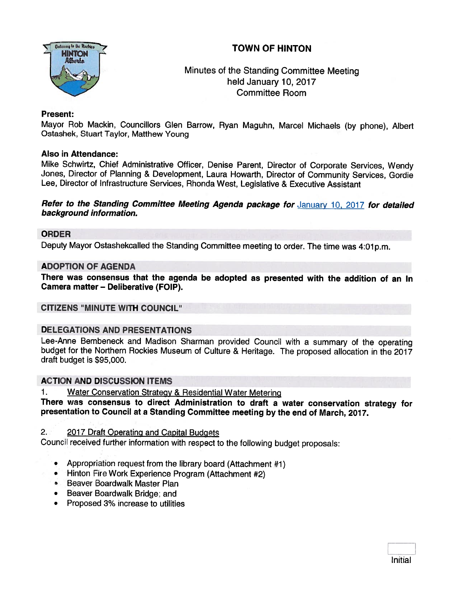## TOWN OF HINTON



## Minutes of the Standing Committee Meeting held January 10, 2017 Committee Room

## Present:

Mayor Rob Mackin, Councillors Glen Barrow, Ryan Maguhn, Marcel Michaels (by <sup>p</sup>hone), Albert Ostashek, Stuart Taylor, Matthew Young

### Also in Attendance:

Mike Schwirtz, Chief Administrative Officer, Denise Parent, Director of Corporate Services, Wendy Jones, Director of Planning & Development, Laura Howarth, Director of Community Services, Gordie Lee, Director of Infrastructure Services, Rhonda West, Legislative & Executive Assistant

### Refer to the Standing Committee Meeting Agenda package for January 10, 2017 for detailed background information.

### **ORDER**

Deputy Mayor Ostashekcalled the Standing Committee meeting to order. The time was 4:01p.m.

### ADOPTION OF AGENDA

There was consensus that the agenda be adopted as presented with the addition of an In Camera matter — Deliberative (FOIP).

## CITIZENS "MINUTE WITH COUNCIL"

### DELEGATIONS AND PRESENTATIONS

Lee-Anne Bembeneck and Madison Sharman provided Council with <sup>a</sup> summary of the operating budget for the Northern Rockies Museum of Culture & Heritage. The propose<sup>d</sup> allocation in the <sup>2017</sup> draft budget is \$95,000.

## ACTION AND DISCUSSION ITEMS

1. Water Conservation Strategy & Residential Water Metering

There was consensus to direct Administration to draft <sup>a</sup> water conservation strategy for presentation to Council at <sup>a</sup> Standing Committee meeting by the end of March, 2017.

## 2. <sup>2017</sup> Draft Qperating and Capital Budgets

Council received further information with respect to the following budget proposals:

- •Appropriation reques<sup>t</sup> from the library board (Attachment #1)
- $\bullet$  FHinton Fire Work Experience Program (Attachment #2)
- Beaver Boardwalk Master Plan
- Beaver Boardwalk Bridge; and
- •Proposed 3% increase to utilities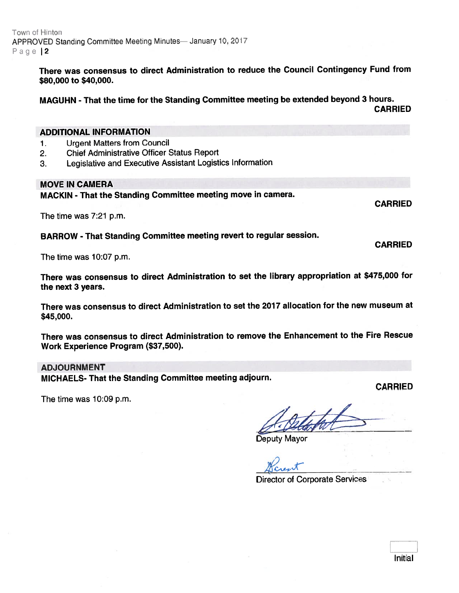Town of Hinton APPROVED Standing Committee Meeting Minutes— January 10, 2017 Page  $|2|$ 

> There was consensus to direct Administration to reduce the Council Contingency Fund from \$80,000 to \$40,000.

> MAGUHN - That the time for the Standing Committee meeting be extended beyond <sup>3</sup> hours. CARRIED

### ADDITIONAL INFORMATION

- 1. Urgent Matters from Council
- 2. Chief Administrative Officer Status Report
- 3. Legislative and Executive Assistant Logistics Information

#### MOVE IN CAMERA

MACKIN - That the Standing Committee meeting move in camera.

The time was 7:21 p.m.

BARROW - That Standing Committee meeting revert to regular session.

CARRIED

CARRIED

CARRIED

The time was 10:07 p.m.

There was consensus to direct Administration to set the library appropriation at \$475,000 for the next 3 years.

There was consensus to direct Administration to set the 2017 allocation for the new museum at \$45,000.

There was consensus to direct Administration to remove the Enhancement to the Fire Rescue Work Experience Program (\$37,500).

#### ADJOURNMENT

MICHAELS- That the Standing Committee meeting adjourn.

The time was 10:09 p.m.

Deputy Mayor

Director of Corporate Services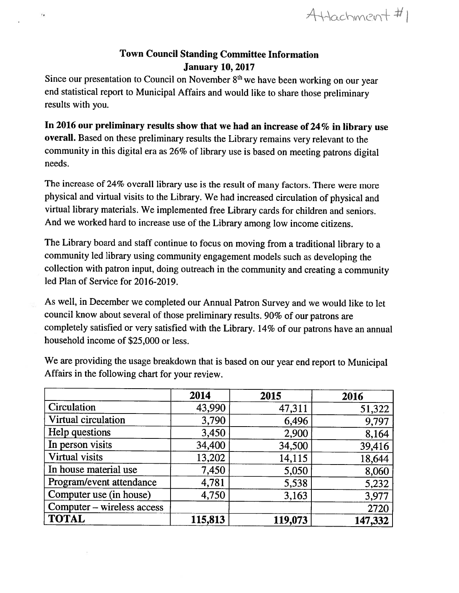$A$ Hachment #1

# fown Council Standing Committee Information January 10, 2017

Since our presentation to Council on November  $8<sup>th</sup>$  we have been working on our year end statistical report to Municipal Affairs and would like to share those preliminary results with you.

 $^{\prime}$ 

In <sup>2016</sup> our preliminary results show that we had an increase of 24% in library use overall. Based on these preliminary results the Library remains very relevant to the community in this digital era as 26% of library use is based on meeting patrons digital needs.

The increase of 24% overall library use is the result of many factors. There were more physical and virtual visits to the Library. We had increased circulation of physical and virtual library materials. We implemented free Library cards for children and seniors. And we worked hard to increase use of the Library among low income citizens.

The Library board and staff continue to focus on moving from <sup>a</sup> traditional library to <sup>a</sup> community led library using community engagement models such as developing the collection with patron input, doing outreach in the community and creating <sup>a</sup> community led Plan of Service for 2016-2019.

As well, in December we completed our Annual Patron Survey and we would like to let council know about several of those preliminary results. 90% of our patrons are completely satisfied or very satisfied with the Library. 14% of our patrons have an annual household income of \$25,000 or less.

|                            | 2014    | 2015    | 2016    |
|----------------------------|---------|---------|---------|
| Circulation                | 43,990  | 47,311  | 51,322  |
| Virtual circulation        | 3,790   | 6,496   | 9,797   |
| Help questions             | 3,450   | 2,900   | 8,164   |
| In person visits           | 34,400  | 34,500  | 39,416  |
| Virtual visits             | 13,202  | 14,115  | 18,644  |
| In house material use      | 7,450   | 5,050   | 8,060   |
| Program/event attendance   | 4,781   | 5,538   | 5,232   |
| Computer use (in house)    | 4,750   | 3,163   | 3,977   |
| Computer – wireless access |         |         | 2720    |
| <b>TOTAL</b>               | 115,813 | 119,073 | 147,332 |

We are providing the usage breakdown that is based on our year end report to Municipal Affairs in the following chart for your review.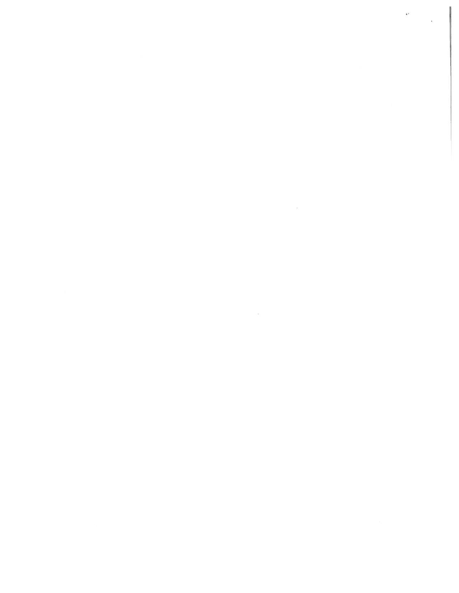$\epsilon^{\mu}$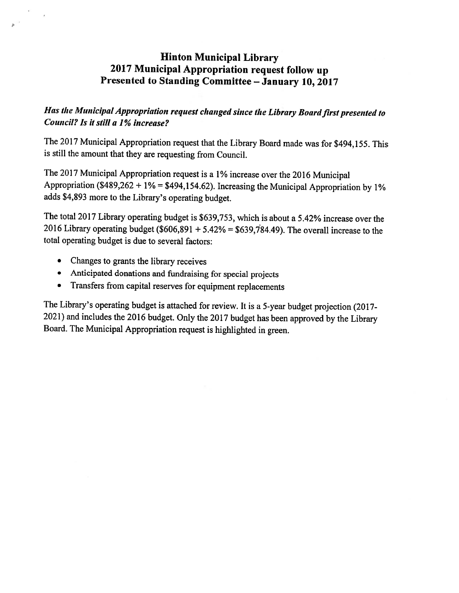# Hinton Municipal Library <sup>2017</sup> Municipal Appropriation request follow up Presented to Standing Committee — January 10, <sup>2017</sup>

## Has the Municipal Appropriation request changed since the Library Board first presented to Council? Is it still a 1% increase?

The <sup>2017</sup> Municipal Appropriation request that the Library Board made was for \$494,155. This is still the amount that they are requesting from Council.

The 2017 Municipal Appropriation request is a 1% increase over the 2016 Municipal Appropriation (\$489,262 + 1% = \$494,154.62). Increasing the Municipal Appropriation by 1% adds \$4,893 more to the Library's operating budget.

The total <sup>2017</sup> Library operating budget is \$639,753, which is about <sup>a</sup> 5.42% increase over the 2016 Library operating budget (\$606,891 + 5.42% = \$639,784.49). The overall increase to the total operating budget is due to several factors:

- Changes to grants the library receives
- Anticipated donations and fundraising for special projects
- Transfers from capital reserves for equipment replacements

The Library's operating budget is attached for review. It is a 5-year budget projection (2017-2021) and includes the <sup>2016</sup> budget. Only the <sup>2017</sup> budget has been approved by the Library Board. The Municipal Appropriation request is highlighted in green.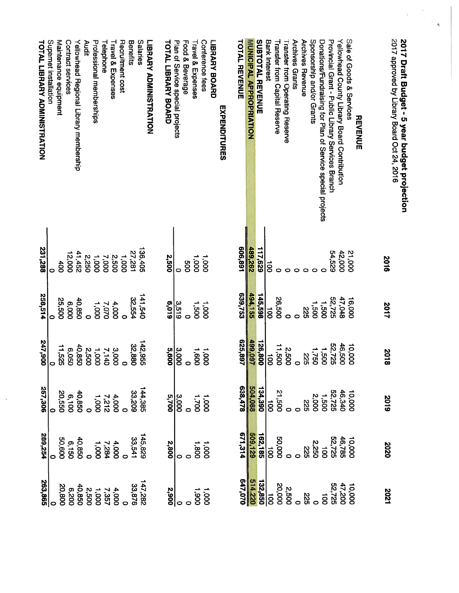| 2017 approved by Library Board Oct 24, 2016<br>2017 Draft Budget - 5 year budget projection       | <b>2016</b>      | 2017             | 8102                | 2019                                                                                                                                                                                                                                                                                                    | 2020                                                                                                                                                                                                                                                                                                                            | 2021                             |
|---------------------------------------------------------------------------------------------------|------------------|------------------|---------------------|---------------------------------------------------------------------------------------------------------------------------------------------------------------------------------------------------------------------------------------------------------------------------------------------------------|---------------------------------------------------------------------------------------------------------------------------------------------------------------------------------------------------------------------------------------------------------------------------------------------------------------------------------|----------------------------------|
| <b>HENENUE</b>                                                                                    |                  |                  |                     |                                                                                                                                                                                                                                                                                                         |                                                                                                                                                                                                                                                                                                                                 |                                  |
| Sale of Goods & Services                                                                          | 21,000           | 16,000           | 10,000              |                                                                                                                                                                                                                                                                                                         | 1 0 0 0 0<br>0 0 0 0 0 0 0<br>0 0 0 0 0 0 0<br>0 0 0 0 0 0                                                                                                                                                                                                                                                                      | 10,000<br>47,200                 |
| Provincial Grant - Public Library Services Branch<br>Yellowhead County Library Board Contribution | 54,529<br>42,000 | 47,048<br>52,725 | 52,725<br>46,500    | 10,000<br>46,340<br>52,725                                                                                                                                                                                                                                                                              |                                                                                                                                                                                                                                                                                                                                 |                                  |
| Donations/Fundraising for Plan of Service special projects                                        | $\circ$          | 1,500            | <b>009'L</b>        | $1,500$<br>2,000<br>225                                                                                                                                                                                                                                                                                 |                                                                                                                                                                                                                                                                                                                                 | $\vec{a}$                        |
| Sponsorship and/or Grants                                                                         | $\circ$          | 0091             | 1,750               |                                                                                                                                                                                                                                                                                                         |                                                                                                                                                                                                                                                                                                                                 |                                  |
| <b>Archives Revenue</b>                                                                           | $\circ$          | <b>225</b>       | 225                 |                                                                                                                                                                                                                                                                                                         |                                                                                                                                                                                                                                                                                                                                 |                                  |
| <b>Archives Grants</b>                                                                            | $\circ$          | $\circ$          | $\circ$             |                                                                                                                                                                                                                                                                                                         |                                                                                                                                                                                                                                                                                                                                 |                                  |
| Transfer from Operating Reserve                                                                   | $\circ$          | $\circ$          | 2,500               |                                                                                                                                                                                                                                                                                                         |                                                                                                                                                                                                                                                                                                                                 |                                  |
| Transfer from Capital Reserve                                                                     | $\circ$          | 26,500           | 11,500              | $\frac{21,500}{100}$                                                                                                                                                                                                                                                                                    |                                                                                                                                                                                                                                                                                                                                 |                                  |
| <b>Bank Interest</b>                                                                              | $\vec{B}$        | $\vec{p}$        | 100                 |                                                                                                                                                                                                                                                                                                         | $\frac{50,000}{162,185}$<br>$\frac{509,129}{509,129}$                                                                                                                                                                                                                                                                           |                                  |
| <b>SUBTOTAL REVENUE</b>                                                                           | 117,629          | 145,598          | 126,800             | $\frac{134,390}{504,088}$ 504,088                                                                                                                                                                                                                                                                       |                                                                                                                                                                                                                                                                                                                                 |                                  |
| <b>MUNICIPAL APPROPRIATION</b>                                                                    | 489,262          | 494,155          | 499,097             |                                                                                                                                                                                                                                                                                                         |                                                                                                                                                                                                                                                                                                                                 |                                  |
| <b>TOTAL REVENUE</b>                                                                              | 606,891          | 639,753          | 625,897             |                                                                                                                                                                                                                                                                                                         |                                                                                                                                                                                                                                                                                                                                 |                                  |
| <b>LIBRARY BOARD</b><br>EXPENDITURES                                                              |                  |                  |                     |                                                                                                                                                                                                                                                                                                         |                                                                                                                                                                                                                                                                                                                                 |                                  |
| Conference fees                                                                                   | 1,000            | 0001             | 0001                |                                                                                                                                                                                                                                                                                                         |                                                                                                                                                                                                                                                                                                                                 | 1,900<br>1,900                   |
| Travel & Expenses                                                                                 | 1,000            | 1,500            | 1,600               |                                                                                                                                                                                                                                                                                                         | 1,000<br>0001                                                                                                                                                                                                                                                                                                                   |                                  |
| Food & Beverage                                                                                   | <b>900</b>       | $\circ$          | $\circ$             | $1.79000$<br>$1.79000$<br>$1.8000$                                                                                                                                                                                                                                                                      |                                                                                                                                                                                                                                                                                                                                 |                                  |
| Plan of Service special projects                                                                  | O                | 3,519            | 3,000               |                                                                                                                                                                                                                                                                                                         |                                                                                                                                                                                                                                                                                                                                 |                                  |
| <b>TOTAL LIBRARY BOARD</b>                                                                        | 2,500            | 6'018            | <b>5,600</b>        |                                                                                                                                                                                                                                                                                                         | 2,800                                                                                                                                                                                                                                                                                                                           | 2,900                            |
| <b>LIBRARY ADMINISTRATION</b>                                                                     |                  |                  |                     |                                                                                                                                                                                                                                                                                                         |                                                                                                                                                                                                                                                                                                                                 |                                  |
| Salaries                                                                                          | 136,405          | 141,540          | 142,955             |                                                                                                                                                                                                                                                                                                         |                                                                                                                                                                                                                                                                                                                                 | 147,282<br>33,876                |
| Benefits                                                                                          | 27,281           | 32,554           | 32,880              |                                                                                                                                                                                                                                                                                                         |                                                                                                                                                                                                                                                                                                                                 |                                  |
| Recruitment cost                                                                                  | 0001             | $\circ$          | $\circ$             |                                                                                                                                                                                                                                                                                                         |                                                                                                                                                                                                                                                                                                                                 |                                  |
| Travel & Expenses                                                                                 | 2,500            | 4,000            | 3,000               |                                                                                                                                                                                                                                                                                                         |                                                                                                                                                                                                                                                                                                                                 |                                  |
| Telephone                                                                                         | 7,000            | 7,070            | 7,140               |                                                                                                                                                                                                                                                                                                         |                                                                                                                                                                                                                                                                                                                                 |                                  |
| Professional memberships                                                                          | 0001             | 0001             | 0001                |                                                                                                                                                                                                                                                                                                         |                                                                                                                                                                                                                                                                                                                                 | 4,000<br>7,357<br>2,500<br>2,500 |
| Audit                                                                                             | 2,250            | $\circ$          | 2,500               |                                                                                                                                                                                                                                                                                                         |                                                                                                                                                                                                                                                                                                                                 |                                  |
| Yellowhead Regional Library membership                                                            | 41,452           | 40,850           | 40,850              | $\begin{array}{cccc} 144.33 & 4 & 7 & 7 & 4 & 83 \\ 33 & 20 & 24 & 1 & 1 & 1 & 1 & 1 \\ 43 & 20 & 20 & 24 & 25 & 25 & 25 \\ 50 & 25 & 25 & 25 & 25 & 25 & 25 \\ 6 & 25 & 25 & 25 & 25 & 25 & 25 \\ 75 & 25 & 25 & 25 & 25 & 25 & 25 \\ 85 & 25 & 25 & 25 & 25 & 25 & 25 \\ 95 & 25 & 25 & 25 & 25 & 25$ | $\begin{array}{cccc} 445.829 \\ 445.824 \\ 45.940 \\ -1.740 \\ -1.740 \\ -1.740 \\ -1.850 \\ -1.850 \\ -1.850 \\ -1.850 \\ -1.850 \\ -1.850 \\ -1.850 \\ -1.850 \\ -1.850 \\ -1.850 \\ -1.850 \\ -1.850 \\ -1.850 \\ -1.850 \\ -1.850 \\ -1.850 \\ -1.850 \\ -1.850 \\ -1.850 \\ -1.850 \\ -1.850 \\ -1.850 \\ -1.850 \\ -1.85$ | 40,850                           |
| Contract services                                                                                 | 12,000           | 6,000            | 6,050               |                                                                                                                                                                                                                                                                                                         |                                                                                                                                                                                                                                                                                                                                 | 0079                             |
| Maintenance equipment                                                                             | $\frac{1}{2}$    | 25,500           | 11,525              |                                                                                                                                                                                                                                                                                                         |                                                                                                                                                                                                                                                                                                                                 | 20,800                           |
| Supernet installation                                                                             |                  |                  | $\frac{0}{247,900}$ |                                                                                                                                                                                                                                                                                                         |                                                                                                                                                                                                                                                                                                                                 |                                  |
| <b>TOTAL LIBRARY ADMINISTRATION</b>                                                               | 231,288          | 258,514          |                     | 257,306                                                                                                                                                                                                                                                                                                 | 289,254                                                                                                                                                                                                                                                                                                                         | 263,865                          |

ÿ

 $\tilde{\epsilon}$ 

 $\bar{\kappa}$  $\tilde{\lambda}$ 

 $\bar{\mathbf{t}}$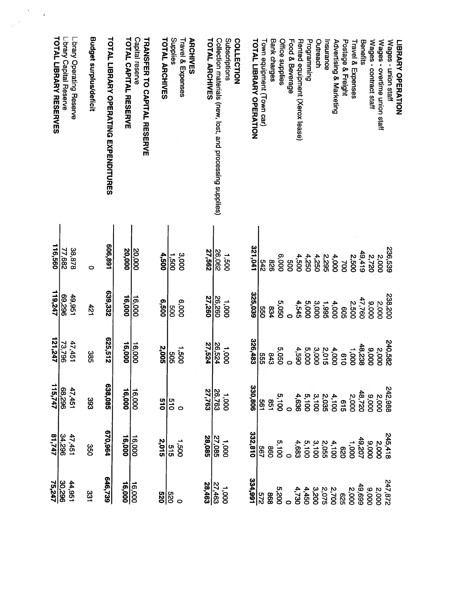| <b>TOTAL LIBRARY RESERVES</b> | Library Capital Reserve | Library Operating Reserve | Budget surplus/deficit | <b>TOTAL LIBRARY OPERATING EXPENDITURES</b> | <b>TOTAL CAPITAL RESERVE</b> | Capital reserve<br><b>TRANSFER TO CAPITAL RESERVE</b> | <b>TOTAL ARCHIVES</b> | Supplies          | <b>ARCHIVES</b><br>Travel & Expenses | TOTAL ARCHIVES                    | Collection materials (new, lost, and processing supplies) | Subscriptions | COLLECTION | <b>TOTAL LIBRARY OPERATION</b> | Town equipment (Town car) | Bank charges | Office supplies      | Food & Beverage | Rented equipment (Xerox lease) | Programming | Outreach | Insurance    | Advertising & Marketing | Postage & Freight | Travel & Expenses                                                                                | Benefits | Wages - contract staff | Wages - overtime union staff | Wages - union staff | <b>LIBRARY OPERATION</b> |
|-------------------------------|-------------------------|---------------------------|------------------------|---------------------------------------------|------------------------------|-------------------------------------------------------|-----------------------|-------------------|--------------------------------------|-----------------------------------|-----------------------------------------------------------|---------------|------------|--------------------------------|---------------------------|--------------|----------------------|-----------------|--------------------------------|-------------|----------|--------------|-------------------------|-------------------|--------------------------------------------------------------------------------------------------|----------|------------------------|------------------------------|---------------------|--------------------------|
| 116,560                       | 77,682                  | 38,878                    | $\circ$                | 606,891                                     | 20,000                       | 20,000                                                | 4,500                 | $\frac{1.500}{1}$ | 3,000                                | 27,562                            | 26,062                                                    | 0091          |            | 321,041                        | 542                       | 928          | 6,000                | 800             | 4,500                          | 4,250       | 4,250    | 2,295        | 4,000                   | 700               | 2,500                                                                                            | 49,419   | 2,720                  | 2,000                        | 236,539             |                          |
| 119,247                       | 89,296                  | 49,951                    | 421                    | 639,332                                     | 16,000                       | 16,000                                                | 009'9                 | 009               | 6,000                                | 27,260                            | 26,260                                                    | 0001          |            | 325,039                        | 099                       | 534          | 5,050                | $\circ$         | 4,545                          | 5,000       | 3,000    | <b>S66'1</b> | 4,000                   | 805               | 2,500                                                                                            | 47,760   | 000'6                  | 2,000                        | 238,200             |                          |
| 121,247                       | 73,796                  | 47,451                    | 385                    | 625,512                                     | 16,000                       | 16,000                                                | 2,005                 | gog               | 1,500                                | 27,524                            | 26,524                                                    | 0001          |            | 326,483                        | ប្លា                      | 843          | 5,050                | $\circ$         | 4,590                          | 5,000       | 3,000    | 2,015        | 4,000                   | $\frac{9}{10}$    | 1,000                                                                                            | 48,238   | 000'6                  | 2,000                        | 240,582             |                          |
|                               | 88,296<br>115,747       | 47,451                    | 393                    | 638,085                                     |                              | 16,000<br>16,000                                      | 019                   | 019               |                                      |                                   | $\frac{1,000}{27,763}$                                    |               |            | 330,806                        | 99                        |              | $\frac{5}{8}$<br>851 |                 |                                |             |          |              |                         |                   | $48.0$<br>$500$<br>$600$<br>$600$<br>$600$<br>$600$<br>$600$<br>$600$<br>$600$<br>$600$<br>$600$ |          | 9,000                  | 2,000                        | 242,988             |                          |
| $\frac{34,296}{81,747}$       |                         | 47,451                    | 350                    | 670,964                                     | 16,000<br>16,000             |                                                       | 2,015                 | 1,500<br>1515     |                                      | $\frac{1,000}{27,085}$<br>28,085  |                                                           |               |            | 332,81C                        | <b>199</b>                |              |                      |                 |                                |             |          |              |                         |                   |                                                                                                  |          |                        | 245,418<br>2000              |                     |                          |
| 30,296<br>75,247              |                         | 44,951                    | 331                    | 646,739                                     | 16,000<br>16,000             |                                                       | $\frac{250}{20}$      |                   |                                      | $\frac{27,463}{28,463}$<br>28,463 |                                                           |               |            |                                |                           |              |                      |                 |                                |             |          |              |                         |                   |                                                                                                  |          | 000'6                  | 2,000                        | 247,872             |                          |

 $\frac{1}{\sqrt{2}}$  ,  $\frac{1}{\sqrt{2}}$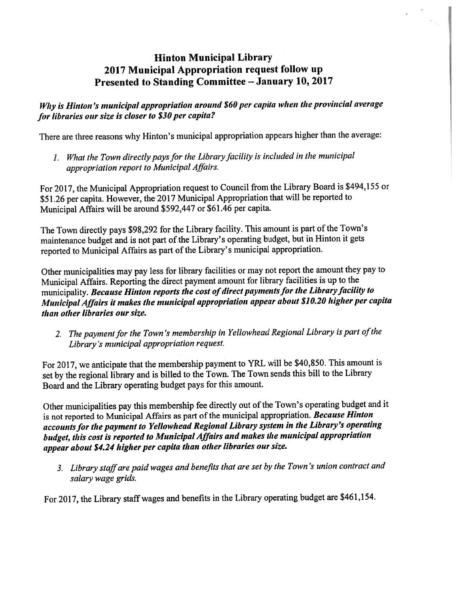# Hinton Municipal Library <sup>2017</sup> Municipal Appropriation reques<sup>t</sup> follow up Presented to Standing Committee — January 10, <sup>2017</sup>

Why is Hinton's municipal appropriation around \$60 per capita when the provincial average for libraries our size is closer to \$30 per capita?

There are three reasons why Hinton's municipal appropriation appears higher than the average:

1. What the Town directly pays for the Library facility is included in the municipal appropriation report to Municipal Affairs.

For 2017, the Municipal Appropriation reques<sup>t</sup> to Council from the Library Board is \$494,155 or \$51.26 per capita. However, the 2017 Municipal Appropriation that will be reported to Municipal Affairs will be around \$592,447 or \$61.46 per capita.

The Town directly pays \$98,292 for the Library facility. This amount is par<sup>t</sup> of the Town's maintenance budget and is not par<sup>t</sup> of the Library's operating budget, but in Hinton it gets reported to Municipal Affairs as par<sup>t</sup> of the Library's municipal appropriation.

Other municipalities may pay less for library facilities or may not report the amount they pay to Municipal Affairs. Reporting the direct paymen<sup>t</sup> amount for library facilities is up to the municipality. Because Hinton reports the cost of direct payments for the Library facility to Municipal Affairs it makes the municipal appropriation appear about \$10.20 higher per capita than other libraries our size.

2. The payment for the Town's membership in Yellowhead Regional Library is part of the Library 's municipal appropriation request.

for 2017. we anticipate that the membership paymen<sup>t</sup> to YRL will be \$40,850. This amount is set by the regional library and is billed to the Town. The Town sends this bill to the Library Board and the Library operating budget pays for this amount.

Other municipalities pay this membership fee directly out of the Town's operating budget and it is not reported to Municipal Affairs as part of the municipal appropriation. Because Hinton accounts for the payment to Yellowhead Regional Library system in the Library's operating budget, this cost is reported to Municipal Affairs and makes the municipal appropriation appear about \$4.24 higher per capita than other libraries our size.

3. Library staff are paid wages and benefits that are set by the Town's union contract and salary wage grids.

For 2017, the Library staff wages and benefits in the Library operating budget are \$461,154.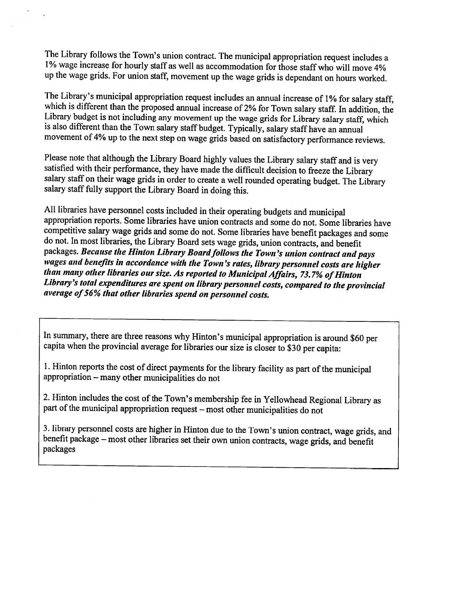The Library follows the Town's union contract. The municipal appropriation request includes <sup>a</sup> 1% wage increase for houriy staff as well as accommodation for those staff who will move 4% up the wage grids. For union staff, movement up the wage grids is dependant on hours worked.

The Library's municipal appropriation request includes an annual increase of 1% for salary staff, which is different than the proposed annual increase of 2% for Town salary staff. In addition, the Library budget is not inc movement of 4% up to the next step on wage grids based on satisfactory performance reviews.

Please note that although the Library Board highly values the Library salary staff and is very satisfied with their performance, they have made the difficult decision to freeze the Library salary staff on their wage grids

All libraries have personnel costs included in their operating budgets and municipal appropriation reports. Some libraries have union contracts and some do not. Some libraries have competitive salary wage grids and some do not. Some libraries have benefit packages and some do not. In most libraries, the Library Board sets wage grids, union contracts, and benefit packages. Because the Hinton Library Board follows the Town's union contract and pays<br>wages and benefits in accordance with the Town's rates, library personnel costs are higher than many other libraries our size. As reported to Municipal Affairs, 73.7% of Hinton Library's total expenditures are spent on library personnel costs, compared to the provincial average of 56% that other libraries spend on personnel costs.

In summary, there are three reasons why Hinton's municipal appropriation is around \$60 per capita when the provincial average for libraries our size is closer to \$30 per capita:

1. Hinton reports the cost of direct payments for the library facility as part of the municipal appropriation — many other municipalities do not

2. Hinton includes the cost of the Town's membership fee in Yellowhead Regional Library as part of the municipal appropriation request — most other municipalities do not

3. library personnel costs are higher in Hinton due to the Town's union contract, wage grids, and benefit package — most other libraries set their own union contracts, wage grids, and benefit packages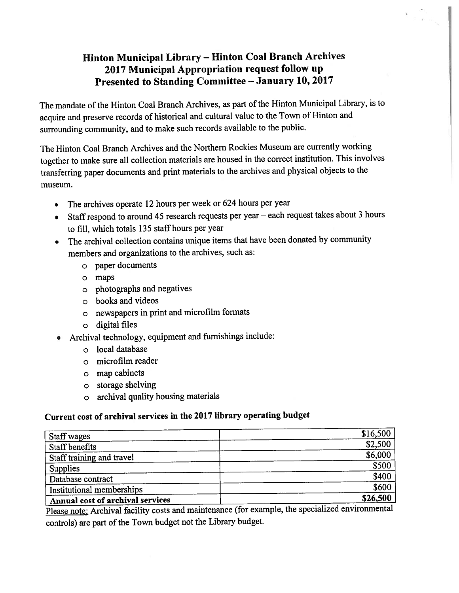# Hinton Municipal Library - Hinton Coal Branch Archives <sup>2017</sup> Municipal Appropriation reques<sup>t</sup> follow up Presented to Standing Committee—January 10, <sup>2017</sup>

 $\mathcal{E}=\frac{m_{\nu}}{m_{\nu}m_{\nu_{\nu}}}$ 

The mandate of the Hinton Coal Branch Archives, as part of the Hinton Municipal Library, is to acquire and preserve records of historical and cultural value to the Town of Hinton and surrounding community, and to make such records available to the public.

The Hinton Coal Branch Archives and the Northern Rockies Museum are currently working together to make sure alt collection materials are housed in the correct institution. This involves transferring paper documents and print materials to the archives and <sup>p</sup>hysical objects to the museum.

- The archives operate 12 hours per week or 624 hours per year
- Staff respond to around 45 research requests per year each request takes about 3 hours to fill, which totals 135 staff hours per year
- The archival collection contains unique items that have been donated by community members and organizations to the archives, such as:
	- <sup>o</sup> paper documents
	- <sup>o</sup> maps
	- <sup>o</sup> photographs and negatives
	- <sup>o</sup> books and videos
	- <sup>o</sup> newspapers in print and microfilm formats
	- <sup>o</sup> digital files
- Archival technology, equipment and furnishings include
	- <sup>o</sup> local database
	- <sup>o</sup> microfilm reader
	- <sup>o</sup> map cabinets
	- <sup>o</sup> storage shelving
	- <sup>o</sup> archival quality housing materials

## Current cost of archival services in the 2017 library operating budget

| Staff wages                      | \$16,500        |
|----------------------------------|-----------------|
| <b>Staff benefits</b>            | $\sqrt{$2,500}$ |
| Staff training and travel        | $\sqrt{$6,000}$ |
| Supplies                         | \$500           |
| Database contract                | \$400           |
| Institutional memberships        | \$600           |
| Annual cost of archival services | \$26,500        |

Please note: Archival facility costs and maintenance (for example, the specialized environmental controls) are par<sup>t</sup> of the Town budget not the Library budget.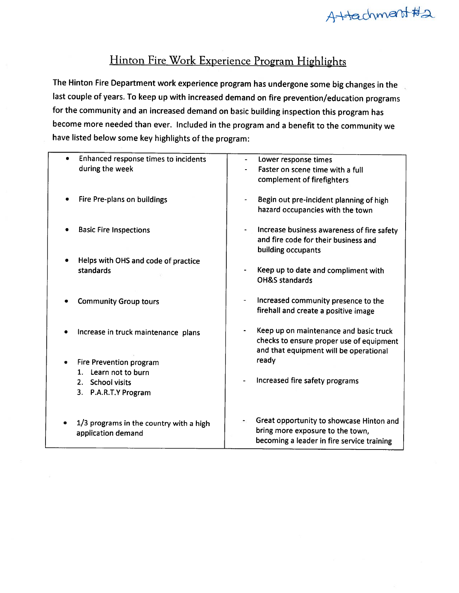Attachment#2

# Hinton Fire Work Experience Program Highlights

The Hinton Fire Department work experience program has undergone some big changes in the last couple of years. To keep up with increased demand on fire prevention/education programs for the community and an increased demand on basic building inspection this program has become more needed than ever. Included in the program and <sup>a</sup> benefit to the community we have listed below some key highlights of the program:

| Enhanced response times to incidents<br>$\bullet$ | Lower response times                                            |
|---------------------------------------------------|-----------------------------------------------------------------|
| during the week                                   | Faster on scene time with a full                                |
|                                                   | complement of firefighters                                      |
|                                                   |                                                                 |
| Fire Pre-plans on buildings                       | Begin out pre-incident planning of high                         |
|                                                   | hazard occupancies with the town                                |
|                                                   |                                                                 |
| <b>Basic Fire Inspections</b>                     | Increase business awareness of fire safety                      |
|                                                   | and fire code for their business and                            |
|                                                   | building occupants                                              |
| Helps with OHS and code of practice               |                                                                 |
| standards                                         | Keep up to date and compliment with                             |
|                                                   | <b>OH&amp;S standards</b>                                       |
|                                                   |                                                                 |
| <b>Community Group tours</b>                      | Increased community presence to the<br>$\overline{\phantom{0}}$ |
|                                                   | firehall and create a positive image                            |
|                                                   |                                                                 |
| Increase in truck maintenance plans               | Keep up on maintenance and basic truck                          |
|                                                   | checks to ensure proper use of equipment                        |
|                                                   | and that equipment will be operational                          |
| <b>Fire Prevention program</b>                    | ready                                                           |
| 1. Learn not to burn                              |                                                                 |
| 2. School visits                                  | Increased fire safety programs                                  |
| 3. P.A.R.T.Y Program                              |                                                                 |
|                                                   |                                                                 |
|                                                   |                                                                 |
| 1/3 programs in the country with a high           | Great opportunity to showcase Hinton and                        |
| application demand                                | bring more exposure to the town,                                |
|                                                   | becoming a leader in fire service training                      |
|                                                   |                                                                 |